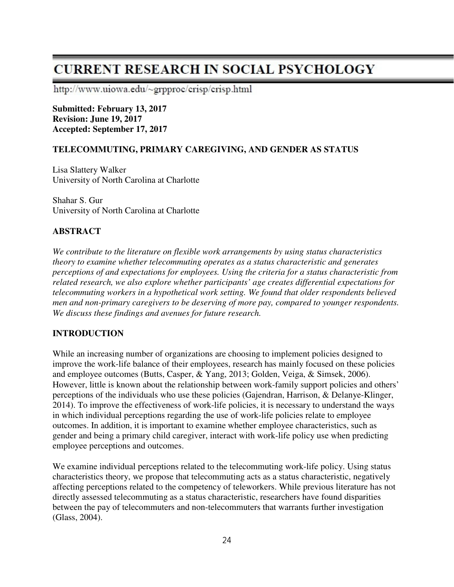# **CURRENT RESEARCH IN SOCIAL PSYCHOLOGY**

http://www.uiowa.edu/~grpproc/crisp/crisp.html

**Submitted: February 13, 2017 Revision: June 19, 2017 Accepted: September 17, 2017** 

## **TELECOMMUTING, PRIMARY CAREGIVING, AND GENDER AS STATUS**

Lisa Slattery Walker University of North Carolina at Charlotte

Shahar S. Gur University of North Carolina at Charlotte

## **ABSTRACT**

*We contribute to the literature on flexible work arrangements by using status characteristics theory to examine whether telecommuting operates as a status characteristic and generates perceptions of and expectations for employees. Using the criteria for a status characteristic from related research, we also explore whether participants' age creates differential expectations for telecommuting workers in a hypothetical work setting. We found that older respondents believed men and non-primary caregivers to be deserving of more pay, compared to younger respondents. We discuss these findings and avenues for future research.* 

## **INTRODUCTION**

While an increasing number of organizations are choosing to implement policies designed to improve the work-life balance of their employees, research has mainly focused on these policies and employee outcomes (Butts, Casper, & Yang, 2013; Golden, Veiga, & Simsek, 2006). However, little is known about the relationship between work-family support policies and others' perceptions of the individuals who use these policies (Gajendran, Harrison, & Delanye-Klinger, 2014). To improve the effectiveness of work-life policies, it is necessary to understand the ways in which individual perceptions regarding the use of work-life policies relate to employee outcomes. In addition, it is important to examine whether employee characteristics, such as gender and being a primary child caregiver, interact with work-life policy use when predicting employee perceptions and outcomes.

We examine individual perceptions related to the telecommuting work-life policy. Using status characteristics theory, we propose that telecommuting acts as a status characteristic, negatively affecting perceptions related to the competency of teleworkers. While previous literature has not directly assessed telecommuting as a status characteristic, researchers have found disparities between the pay of telecommuters and non-telecommuters that warrants further investigation (Glass, 2004).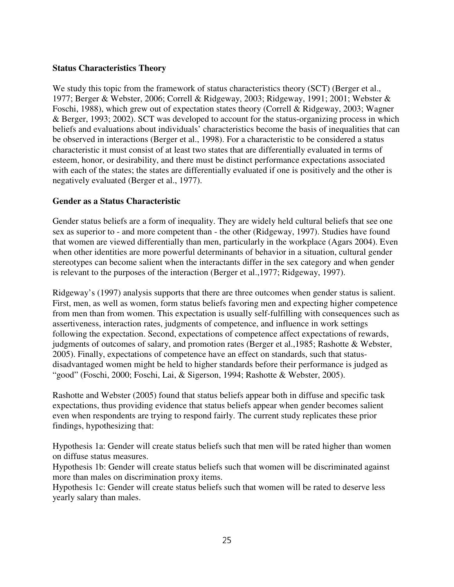## **Status Characteristics Theory**

We study this topic from the framework of status characteristics theory (SCT) (Berger et al., 1977; Berger & Webster, 2006; Correll & Ridgeway, 2003; Ridgeway, 1991; 2001; Webster & Foschi, 1988), which grew out of expectation states theory (Correll & Ridgeway, 2003; Wagner & Berger, 1993; 2002). SCT was developed to account for the status-organizing process in which beliefs and evaluations about individuals' characteristics become the basis of inequalities that can be observed in interactions (Berger et al., 1998). For a characteristic to be considered a status characteristic it must consist of at least two states that are differentially evaluated in terms of esteem, honor, or desirability, and there must be distinct performance expectations associated with each of the states; the states are differentially evaluated if one is positively and the other is negatively evaluated (Berger et al., 1977).

## **Gender as a Status Characteristic**

Gender status beliefs are a form of inequality. They are widely held cultural beliefs that see one sex as superior to - and more competent than - the other (Ridgeway, 1997). Studies have found that women are viewed differentially than men, particularly in the workplace (Agars 2004). Even when other identities are more powerful determinants of behavior in a situation, cultural gender stereotypes can become salient when the interactants differ in the sex category and when gender is relevant to the purposes of the interaction (Berger et al.,1977; Ridgeway, 1997).

Ridgeway's (1997) analysis supports that there are three outcomes when gender status is salient. First, men, as well as women, form status beliefs favoring men and expecting higher competence from men than from women. This expectation is usually self-fulfilling with consequences such as assertiveness, interaction rates, judgments of competence, and influence in work settings following the expectation. Second, expectations of competence affect expectations of rewards, judgments of outcomes of salary, and promotion rates (Berger et al.,1985; Rashotte & Webster, 2005). Finally, expectations of competence have an effect on standards, such that statusdisadvantaged women might be held to higher standards before their performance is judged as "good" (Foschi, 2000; Foschi, Lai, & Sigerson, 1994; Rashotte & Webster, 2005).

Rashotte and Webster (2005) found that status beliefs appear both in diffuse and specific task expectations, thus providing evidence that status beliefs appear when gender becomes salient even when respondents are trying to respond fairly. The current study replicates these prior findings, hypothesizing that:

Hypothesis 1a: Gender will create status beliefs such that men will be rated higher than women on diffuse status measures.

Hypothesis 1b: Gender will create status beliefs such that women will be discriminated against more than males on discrimination proxy items.

Hypothesis 1c: Gender will create status beliefs such that women will be rated to deserve less yearly salary than males.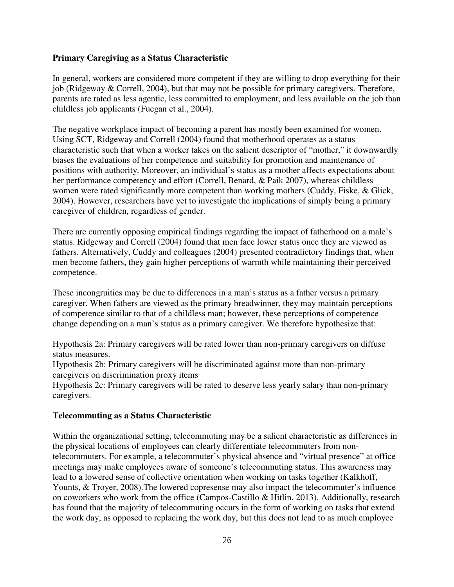## **Primary Caregiving as a Status Characteristic**

In general, workers are considered more competent if they are willing to drop everything for their job (Ridgeway & Correll, 2004), but that may not be possible for primary caregivers. Therefore, parents are rated as less agentic, less committed to employment, and less available on the job than childless job applicants (Fuegan et al., 2004).

The negative workplace impact of becoming a parent has mostly been examined for women. Using SCT, Ridgeway and Correll (2004) found that motherhood operates as a status characteristic such that when a worker takes on the salient descriptor of "mother," it downwardly biases the evaluations of her competence and suitability for promotion and maintenance of positions with authority. Moreover, an individual's status as a mother affects expectations about her performance competency and effort (Correll, Benard, & Paik 2007), whereas childless women were rated significantly more competent than working mothers (Cuddy, Fiske, & Glick, 2004). However, researchers have yet to investigate the implications of simply being a primary caregiver of children, regardless of gender.

There are currently opposing empirical findings regarding the impact of fatherhood on a male's status. Ridgeway and Correll (2004) found that men face lower status once they are viewed as fathers. Alternatively, Cuddy and colleagues (2004) presented contradictory findings that, when men become fathers, they gain higher perceptions of warmth while maintaining their perceived competence.

These incongruities may be due to differences in a man's status as a father versus a primary caregiver. When fathers are viewed as the primary breadwinner, they may maintain perceptions of competence similar to that of a childless man; however, these perceptions of competence change depending on a man's status as a primary caregiver. We therefore hypothesize that:

Hypothesis 2a: Primary caregivers will be rated lower than non-primary caregivers on diffuse status measures.

Hypothesis 2b: Primary caregivers will be discriminated against more than non-primary caregivers on discrimination proxy items

Hypothesis 2c: Primary caregivers will be rated to deserve less yearly salary than non-primary caregivers.

#### **Telecommuting as a Status Characteristic**

Within the organizational setting, telecommuting may be a salient characteristic as differences in the physical locations of employees can clearly differentiate telecommuters from nontelecommuters. For example, a telecommuter's physical absence and "virtual presence" at office meetings may make employees aware of someone's telecommuting status. This awareness may lead to a lowered sense of collective orientation when working on tasks together (Kalkhoff, Younts, & Troyer, 2008). The lowered copresense may also impact the telecommuter's influence on coworkers who work from the office (Campos-Castillo & Hitlin, 2013). Additionally, research has found that the majority of telecommuting occurs in the form of working on tasks that extend the work day, as opposed to replacing the work day, but this does not lead to as much employee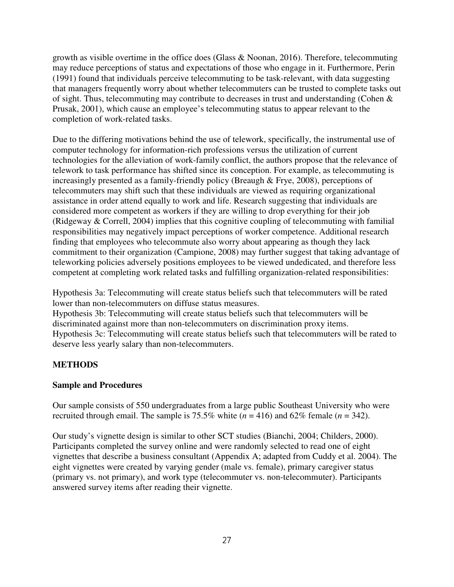growth as visible overtime in the office does (Glass & Noonan, 2016). Therefore, telecommuting may reduce perceptions of status and expectations of those who engage in it. Furthermore, Perin (1991) found that individuals perceive telecommuting to be task-relevant, with data suggesting that managers frequently worry about whether telecommuters can be trusted to complete tasks out of sight. Thus, telecommuting may contribute to decreases in trust and understanding (Cohen & Prusak, 2001), which cause an employee's telecommuting status to appear relevant to the completion of work-related tasks.

Due to the differing motivations behind the use of telework, specifically, the instrumental use of computer technology for information-rich professions versus the utilization of current technologies for the alleviation of work-family conflict, the authors propose that the relevance of telework to task performance has shifted since its conception. For example, as telecommuting is increasingly presented as a family-friendly policy (Breaugh & Frye, 2008), perceptions of telecommuters may shift such that these individuals are viewed as requiring organizational assistance in order attend equally to work and life. Research suggesting that individuals are considered more competent as workers if they are willing to drop everything for their job (Ridgeway & Correll, 2004) implies that this cognitive coupling of telecommuting with familial responsibilities may negatively impact perceptions of worker competence. Additional research finding that employees who telecommute also worry about appearing as though they lack commitment to their organization (Campione, 2008) may further suggest that taking advantage of teleworking policies adversely positions employees to be viewed undedicated, and therefore less competent at completing work related tasks and fulfilling organization-related responsibilities:

Hypothesis 3a: Telecommuting will create status beliefs such that telecommuters will be rated lower than non-telecommuters on diffuse status measures. Hypothesis 3b: Telecommuting will create status beliefs such that telecommuters will be discriminated against more than non-telecommuters on discrimination proxy items.

Hypothesis 3c: Telecommuting will create status beliefs such that telecommuters will be rated to deserve less yearly salary than non-telecommuters.

# **METHODS**

# **Sample and Procedures**

Our sample consists of 550 undergraduates from a large public Southeast University who were recruited through email. The sample is 75.5% white  $(n = 416)$  and 62% female  $(n = 342)$ .

Our study's vignette design is similar to other SCT studies (Bianchi, 2004; Childers, 2000). Participants completed the survey online and were randomly selected to read one of eight vignettes that describe a business consultant (Appendix A; adapted from Cuddy et al. 2004). The eight vignettes were created by varying gender (male vs. female), primary caregiver status (primary vs. not primary), and work type (telecommuter vs. non-telecommuter). Participants answered survey items after reading their vignette.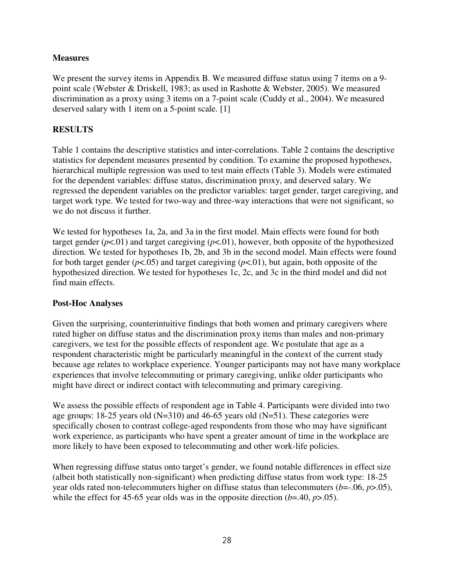## **Measures**

We present the survey items in Appendix B. We measured diffuse status using 7 items on a 9point scale (Webster & Driskell, 1983; as used in Rashotte & Webster, 2005). We measured discrimination as a proxy using 3 items on a 7-point scale (Cuddy et al., 2004). We measured deserved salary with 1 item on a 5-point scale. [1]

# **RESULTS**

Table 1 contains the descriptive statistics and inter-correlations. Table 2 contains the descriptive statistics for dependent measures presented by condition. To examine the proposed hypotheses, hierarchical multiple regression was used to test main effects (Table 3). Models were estimated for the dependent variables: diffuse status, discrimination proxy, and deserved salary. We regressed the dependent variables on the predictor variables: target gender, target caregiving, and target work type. We tested for two-way and three-way interactions that were not significant, so we do not discuss it further.

We tested for hypotheses 1a, 2a, and 3a in the first model. Main effects were found for both target gender  $(p<.01)$  and target caregiving  $(p<.01)$ , however, both opposite of the hypothesized direction. We tested for hypotheses 1b, 2b, and 3b in the second model. Main effects were found for both target gender  $(p<.05)$  and target caregiving  $(p<.01)$ , but again, both opposite of the hypothesized direction. We tested for hypotheses 1c, 2c, and 3c in the third model and did not find main effects.

## **Post-Hoc Analyses**

Given the surprising, counterintuitive findings that both women and primary caregivers where rated higher on diffuse status and the discrimination proxy items than males and non-primary caregivers, we test for the possible effects of respondent age. We postulate that age as a respondent characteristic might be particularly meaningful in the context of the current study because age relates to workplace experience. Younger participants may not have many workplace experiences that involve telecommuting or primary caregiving, unlike older participants who might have direct or indirect contact with telecommuting and primary caregiving.

We assess the possible effects of respondent age in Table 4. Participants were divided into two age groups: 18-25 years old (N=310) and 46-65 years old (N=51). These categories were specifically chosen to contrast college-aged respondents from those who may have significant work experience, as participants who have spent a greater amount of time in the workplace are more likely to have been exposed to telecommuting and other work-life policies.

When regressing diffuse status onto target's gender, we found notable differences in effect size (albeit both statistically non-significant) when predicting diffuse status from work type: 18-25 year olds rated non-telecommuters higher on diffuse status than telecommuters (*b*=-.06, *p*>.05), while the effect for 45-65 year olds was in the opposite direction (*b*=.40, *p*>.05).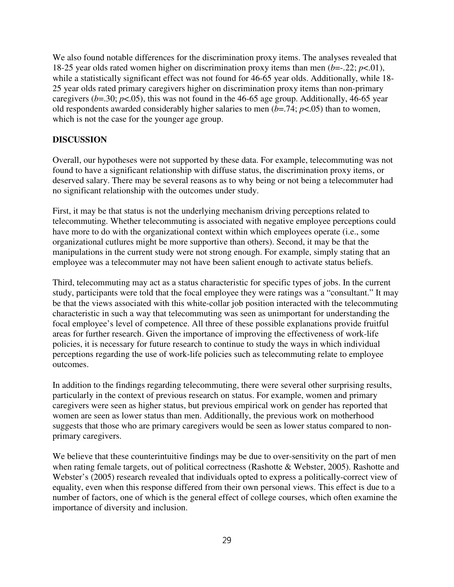We also found notable differences for the discrimination proxy items. The analyses revealed that 18-25 year olds rated women higher on discrimination proxy items than men (*b*=-.22; *p*<.01), while a statistically significant effect was not found for 46-65 year olds. Additionally, while 18-25 year olds rated primary caregivers higher on discrimination proxy items than non-primary caregivers ( $b$ =.30;  $p$ <.05), this was not found in the 46-65 age group. Additionally, 46-65 year old respondents awarded considerably higher salaries to men (*b*=.74; *p*<.05) than to women, which is not the case for the younger age group.

## **DISCUSSION**

Overall, our hypotheses were not supported by these data. For example, telecommuting was not found to have a significant relationship with diffuse status, the discrimination proxy items, or deserved salary. There may be several reasons as to why being or not being a telecommuter had no significant relationship with the outcomes under study.

First, it may be that status is not the underlying mechanism driving perceptions related to telecommuting. Whether telecommuting is associated with negative employee perceptions could have more to do with the organizational context within which employees operate (i.e., some organizational cutlures might be more supportive than others). Second, it may be that the manipulations in the current study were not strong enough. For example, simply stating that an employee was a telecommuter may not have been salient enough to activate status beliefs.

Third, telecommuting may act as a status characteristic for specific types of jobs. In the current study, participants were told that the focal employee they were ratings was a "consultant." It may be that the views associated with this white-collar job position interacted with the telecommuting characteristic in such a way that telecommuting was seen as unimportant for understanding the focal employee's level of competence. All three of these possible explanations provide fruitful areas for further research. Given the importance of improving the effectiveness of work-life policies, it is necessary for future research to continue to study the ways in which individual perceptions regarding the use of work-life policies such as telecommuting relate to employee outcomes.

In addition to the findings regarding telecommuting, there were several other surprising results, particularly in the context of previous research on status. For example, women and primary caregivers were seen as higher status, but previous empirical work on gender has reported that women are seen as lower status than men. Additionally, the previous work on motherhood suggests that those who are primary caregivers would be seen as lower status compared to nonprimary caregivers.

We believe that these counterintuitive findings may be due to over-sensitivity on the part of men when rating female targets, out of political correctness (Rashotte & Webster, 2005). Rashotte and Webster's (2005) research revealed that individuals opted to express a politically-correct view of equality, even when this response differed from their own personal views. This effect is due to a number of factors, one of which is the general effect of college courses, which often examine the importance of diversity and inclusion.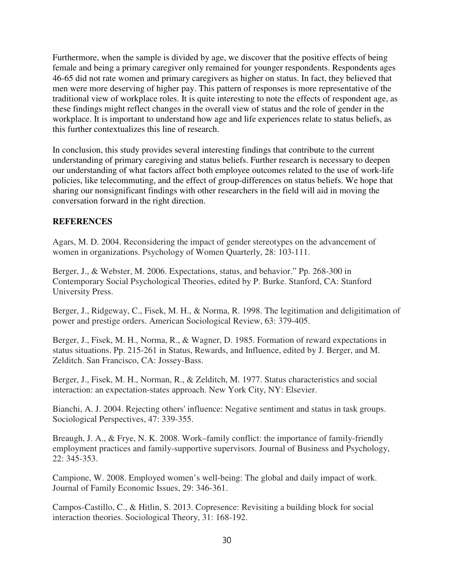Furthermore, when the sample is divided by age, we discover that the positive effects of being female and being a primary caregiver only remained for younger respondents. Respondents ages 46-65 did not rate women and primary caregivers as higher on status. In fact, they believed that men were more deserving of higher pay. This pattern of responses is more representative of the traditional view of workplace roles. It is quite interesting to note the effects of respondent age, as these findings might reflect changes in the overall view of status and the role of gender in the workplace. It is important to understand how age and life experiences relate to status beliefs, as this further contextualizes this line of research.

In conclusion, this study provides several interesting findings that contribute to the current understanding of primary caregiving and status beliefs. Further research is necessary to deepen our understanding of what factors affect both employee outcomes related to the use of work-life policies, like telecommuting, and the effect of group-differences on status beliefs. We hope that sharing our nonsignificant findings with other researchers in the field will aid in moving the conversation forward in the right direction.

## **REFERENCES**

Agars, M. D. 2004. Reconsidering the impact of gender stereotypes on the advancement of women in organizations. Psychology of Women Quarterly, 28: 103-111.

Berger, J., & Webster, M. 2006. Expectations, status, and behavior." Pp. 268-300 in Contemporary Social Psychological Theories, edited by P. Burke. Stanford, CA: Stanford University Press.

Berger, J., Ridgeway, C., Fisek, M. H., & Norma, R. 1998. The legitimation and deligitimation of power and prestige orders. American Sociological Review, 63: 379-405.

Berger, J., Fisek, M. H., Norma, R., & Wagner, D. 1985. Formation of reward expectations in status situations. Pp. 215-261 in Status, Rewards, and Influence, edited by J. Berger, and M. Zelditch. San Francisco, CA: Jossey-Bass.

Berger, J., Fisek, M. H., Norman, R., & Zelditch, M. 1977. Status characteristics and social interaction: an expectation-states approach. New York City, NY: Elsevier.

Bianchi, A. J. 2004. Rejecting others' influence: Negative sentiment and status in task groups. Sociological Perspectives, 47: 339-355.

Breaugh, J. A., & Frye, N. K. 2008. Work–family conflict: the importance of family-friendly employment practices and family-supportive supervisors. Journal of Business and Psychology, 22: 345-353.

Campione, W. 2008. Employed women's well-being: The global and daily impact of work. Journal of Family Economic Issues, 29: 346-361.

Campos-Castillo, C., & Hitlin, S. 2013. Copresence: Revisiting a building block for social interaction theories. Sociological Theory, 31: 168-192.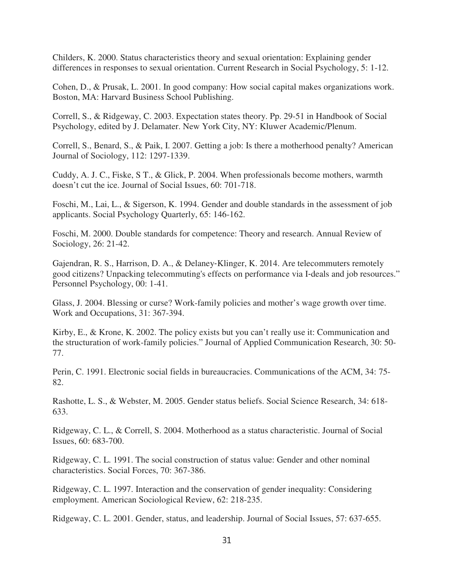Childers, K. 2000. Status characteristics theory and sexual orientation: Explaining gender differences in responses to sexual orientation. Current Research in Social Psychology, 5: 1-12.

Cohen, D., & Prusak, L. 2001. In good company: How social capital makes organizations work. Boston, MA: Harvard Business School Publishing.

Correll, S., & Ridgeway, C. 2003. Expectation states theory. Pp. 29-51 in Handbook of Social Psychology, edited by J. Delamater. New York City, NY: Kluwer Academic/Plenum.

Correll, S., Benard, S., & Paik, I. 2007. Getting a job: Is there a motherhood penalty? American Journal of Sociology, 112: 1297-1339.

Cuddy, A. J. C., Fiske, S T., & Glick, P. 2004. When professionals become mothers, warmth doesn't cut the ice. Journal of Social Issues, 60: 701-718.

Foschi, M., Lai, L., & Sigerson, K. 1994. Gender and double standards in the assessment of job applicants. Social Psychology Quarterly, 65: 146-162.

Foschi, M. 2000. Double standards for competence: Theory and research. Annual Review of Sociology, 26: 21-42.

Gajendran, R. S., Harrison, D. A., & Delaney-Klinger, K. 2014. Are telecommuters remotely good citizens? Unpacking telecommuting's effects on performance via I‐deals and job resources." Personnel Psychology, 00: 1-41.

Glass, J. 2004. Blessing or curse? Work-family policies and mother's wage growth over time. Work and Occupations, 31: 367-394.

Kirby, E., & Krone, K. 2002. The policy exists but you can't really use it: Communication and the structuration of work-family policies." Journal of Applied Communication Research, 30: 50- 77.

Perin, C. 1991. Electronic social fields in bureaucracies. Communications of the ACM, 34: 75- 82.

Rashotte, L. S., & Webster, M. 2005. Gender status beliefs. Social Science Research, 34: 618- 633.

Ridgeway, C. L., & Correll, S. 2004. Motherhood as a status characteristic. Journal of Social Issues, 60: 683-700.

Ridgeway, C. L. 1991. The social construction of status value: Gender and other nominal characteristics. Social Forces, 70: 367-386.

Ridgeway, C. L. 1997. Interaction and the conservation of gender inequality: Considering employment. American Sociological Review, 62: 218-235.

Ridgeway, C. L. 2001. Gender, status, and leadership. Journal of Social Issues, 57: 637-655.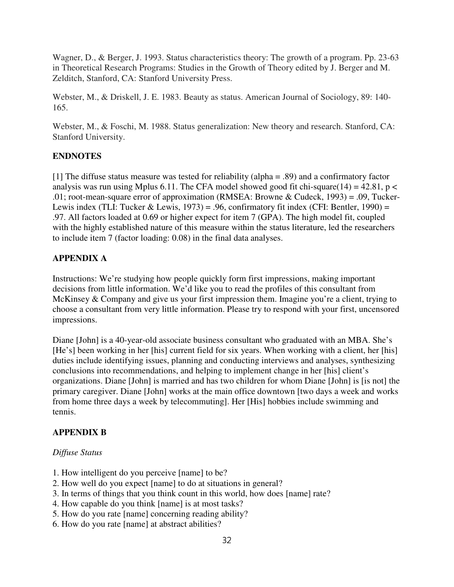Wagner, D., & Berger, J. 1993. Status characteristics theory: The growth of a program. Pp. 23-63 in Theoretical Research Programs: Studies in the Growth of Theory edited by J. Berger and M. Zelditch, Stanford, CA: Stanford University Press.

Webster, M., & Driskell, J. E. 1983. Beauty as status. American Journal of Sociology, 89: 140- 165.

Webster, M., & Foschi, M. 1988. Status generalization: New theory and research. Stanford, CA: Stanford University.

# **ENDNOTES**

[1] The diffuse status measure was tested for reliability (alpha = .89) and a confirmatory factor analysis was run using Mplus 6.11. The CFA model showed good fit chi-square(14) = 42.81, p < .01; root-mean-square error of approximation (RMSEA: Browne & Cudeck, 1993) = .09, Tucker-Lewis index (TLI: Tucker & Lewis, 1973) = .96, confirmatory fit index (CFI: Bentler, 1990) = .97. All factors loaded at 0.69 or higher expect for item 7 (GPA). The high model fit, coupled with the highly established nature of this measure within the status literature, led the researchers to include item 7 (factor loading: 0.08) in the final data analyses.

## **APPENDIX A**

Instructions: We're studying how people quickly form first impressions, making important decisions from little information. We'd like you to read the profiles of this consultant from McKinsey & Company and give us your first impression them. Imagine you're a client, trying to choose a consultant from very little information. Please try to respond with your first, uncensored impressions.

Diane [John] is a 40-year-old associate business consultant who graduated with an MBA. She's [He's] been working in her [his] current field for six years. When working with a client, her [his] duties include identifying issues, planning and conducting interviews and analyses, synthesizing conclusions into recommendations, and helping to implement change in her [his] client's organizations. Diane [John] is married and has two children for whom Diane [John] is [is not] the primary caregiver. Diane [John] works at the main office downtown [two days a week and works from home three days a week by telecommuting]. Her [His] hobbies include swimming and tennis.

# **APPENDIX B**

## *Diffuse Status*

- 1. How intelligent do you perceive [name] to be?
- 2. How well do you expect [name] to do at situations in general?
- 3. In terms of things that you think count in this world, how does [name] rate?
- 4. How capable do you think [name] is at most tasks?
- 5. How do you rate [name] concerning reading ability?
- 6. How do you rate [name] at abstract abilities?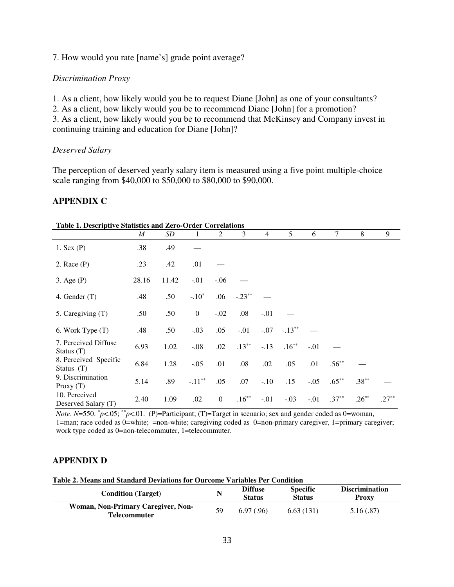7. How would you rate [name's] grade point average?

#### *Discrimination Proxy*

1. As a client, how likely would you be to request Diane [John] as one of your consultants? 2. As a client, how likely would you be to recommend Diane [John] for a promotion?

3. As a client, how likely would you be to recommend that McKinsey and Company invest in continuing training and education for Diane [John]?

#### *Deserved Salary*

The perception of deserved yearly salary item is measured using a five point multiple-choice scale ranging from \$40,000 to \$50,000 to \$80,000 to \$90,000.

## **APPENDIX C**

| <b>Table 1. Descriptive Statistics and Zero-Order Correlations</b> |       |       |                  |                |          |                |           |        |          |          |          |
|--------------------------------------------------------------------|-------|-------|------------------|----------------|----------|----------------|-----------|--------|----------|----------|----------|
|                                                                    | M     | SD    |                  | 2              | 3        | $\overline{4}$ | 5         | 6      | 7        | 8        | 9        |
| $1.$ Sex $(P)$                                                     | .38   | .49   |                  |                |          |                |           |        |          |          |          |
| $2.$ Race $(P)$                                                    | .23   | .42   | .01              |                |          |                |           |        |          |          |          |
| $3. \text{Age} (P)$                                                | 28.16 | 11.42 | $-.01$           | $-.06$         |          |                |           |        |          |          |          |
| 4. Gender $(T)$                                                    | .48   | .50   | $-.10*$          | .06            | $-.23**$ |                |           |        |          |          |          |
| 5. Caregiving (T)                                                  | .50   | .50   | $\boldsymbol{0}$ | $-.02$         | .08      | $-.01$         |           |        |          |          |          |
| 6. Work Type (T)                                                   | .48   | .50   | $-.03$           | .05            | $-.01$   | $-.07$         | $-.13***$ |        |          |          |          |
| 7. Perceived Diffuse<br>Status $(T)$                               | 6.93  | 1.02  | $-.08$           | .02            | $.13***$ | $-.13$         | $.16***$  | $-.01$ |          |          |          |
| 8. Perceived Specific<br>Status $(T)$                              | 6.84  | 1.28  | $-.05$           | .01            | .08      | .02            | .05       | .01    | $.56***$ |          |          |
| 9. Discrimination<br>Proxy $(T)$                                   | 5.14  | .89   | $-.11***$        | .05            | .07      | $-.10$         | .15       | $-.05$ | $.65***$ | $.38***$ |          |
| 10. Perceived<br>Deserved Salary (T)                               | 2.40  | 1.09  | .02              | $\overline{0}$ | $.16***$ | $-.01$         | $-.03$    | $-.01$ | $.37***$ | $.26***$ | $.27***$ |

**Table 1. Descriptive Statistics and Zero-Order Correlations** 

*Note*. *N*=550.  $p$ <sup>*k*</sup>/ $p$ <.05; \* $p$ <sup>*k*</sup>/ $p$ <sup>*k*</sup>.01. (P)=Participant; (T)=Target in scenario; sex and gender coded as 0=woman, 1=man; race coded as 0=white; =non-white; caregiving coded as 0=non-primary caregiver, 1=primary caregiver; work type coded as 0=non-telecommuter, 1=telecommuter.

## **APPENDIX D**

| Table 2. Means and Standard Deviations for Ourcome Variables Per Condition |  |
|----------------------------------------------------------------------------|--|
|----------------------------------------------------------------------------|--|

| <b>Condition</b> (Target)                                 | N  | <b>Diffuse</b><br><b>Status</b> | <b>Specific</b><br><b>Status</b> | <b>Discrimination</b><br><b>Proxy</b> |
|-----------------------------------------------------------|----|---------------------------------|----------------------------------|---------------------------------------|
| Woman, Non-Primary Caregiver, Non-<br><b>Telecommuter</b> | 59 | 6.97(0.96)                      | 6.63(131)                        | 5.16(.87)                             |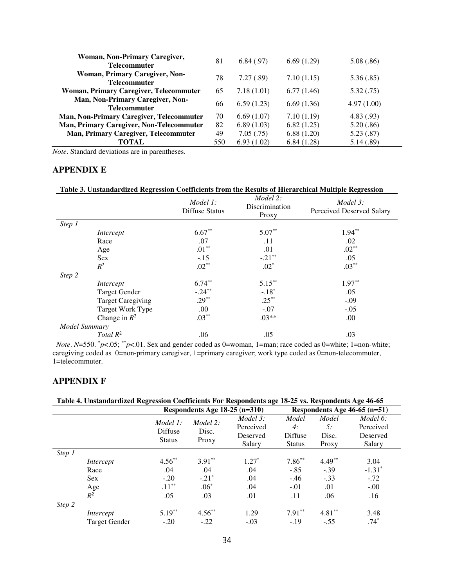| Woman, Non-Primary Caregiver,<br><b>Telecommuter</b>    | 81  | 6.84(0.97) | 6.69(1.29) | 5.08(.86)  |
|---------------------------------------------------------|-----|------------|------------|------------|
| Woman, Primary Caregiver, Non-<br>Telecommuter          | 78  | 7.27(.89)  | 7.10(1.15) | 5.36(.85)  |
| <b>Woman, Primary Caregiver, Telecommuter</b>           | 65  | 7.18(1.01) | 6.77(1.46) | 5.32(.75)  |
| Man, Non-Primary Caregiver, Non-<br><b>Telecommuter</b> | 66  | 6.59(1.23) | 6.69(1.36) | 4.97(1.00) |
| <b>Man, Non-Primary Caregiver, Telecommuter</b>         | 70  | 6.69(1.07) | 7.10(1.19) | 4.83(0.93) |
| Man, Primary Caregiver, Non-Telecommuter                | 82  | 6.89(1.03) | 6.82(1.25) | 5.20(.86)  |
| Man, Primary Caregiver, Telecommuter                    | 49  | 7.05(.75)  | 6.88(1.20) | 5.23(.87)  |
| TOTAL                                                   | 550 | 6.93(1.02) | 6.84(1.28) | 5.14(.89)  |

*Note*. Standard deviations are in parentheses.

#### **APPENDIX E**

#### **Table 3. Unstandardized Regression Coefficients from the Results of Hierarchical Multiple Regression**

|               |                          | Model 1:<br>Diffuse Status | Model 2:<br>Discrimination<br>Proxy | Model 3:<br>Perceived Deserved Salary |
|---------------|--------------------------|----------------------------|-------------------------------------|---------------------------------------|
| Step 1        |                          |                            |                                     |                                       |
|               | Intercept                | $6.67**$                   | $5.07**$                            | $1.94***$                             |
|               | Race                     | .07                        | .11                                 | .02                                   |
|               | Age                      | $.01***$                   | .01                                 | $.02***$                              |
|               | <b>Sex</b>               | $-.15$                     | $-.21***$                           | .05                                   |
|               | $R^2$                    | $.02***$                   | $.02*$                              | $.03***$                              |
| Step 2        |                          |                            |                                     |                                       |
|               | Intercept                | $6.74***$                  | $5.15***$                           | $1.97**$                              |
|               | <b>Target Gender</b>     | $-.24***$                  | $-.18*$                             | .05                                   |
|               | <b>Target Caregiving</b> | $.29***$                   | $.25***$                            | $-.09$                                |
|               | Target Work Type         | .00.                       | $-.07$                              | $-.05$                                |
|               | Change in $R^2$          | $.03***$                   | $.03**$                             | .00                                   |
| Model Summary |                          |                            |                                     |                                       |
|               | Total $R^2$              | .06                        | .05                                 | .03                                   |

*Note*. *N*=550.  $^{*}p$ <.05;  $^{*}p$ <.01. Sex and gender coded as 0=woman, 1=man; race coded as 0=white; 1=non-white; caregiving coded as 0=non-primary caregiver, 1=primary caregiver; work type coded as 0=non-telecommuter, 1=telecommuter.

## **APPENDIX F**

#### **Table 4. Unstandardized Regression Coefficients For Respondents age 18-25 vs. Respondents Age 46-65**

|        |               |               | Respondents Age 18-25 (n=310) |           | Respondents Age $46-65$ (n=51) |           |           |  |
|--------|---------------|---------------|-------------------------------|-----------|--------------------------------|-----------|-----------|--|
|        |               | Model 1:      | Model 2:                      | Model 3:  | Model                          | Model     | Model 6:  |  |
|        |               | Diffuse       | Disc.                         | Perceived | 4:                             | 5:        | Perceived |  |
|        |               | <b>Status</b> | Proxy                         | Deserved  | Diffuse                        | Disc.     | Deserved  |  |
|        |               |               |                               | Salary    | <b>Status</b>                  | Proxy     | Salary    |  |
| Step 1 |               |               |                               |           |                                |           |           |  |
|        | Intercept     | $4.56***$     | $3.91**$                      | $1.27*$   | $7.86***$                      | $4.49**$  | 3.04      |  |
|        | Race          | .04           | .04                           | .04       | $-.85$                         | $-.39$    | $-1.31*$  |  |
|        | <b>Sex</b>    | $-.20$        | $-.21*$                       | .04       | $-.46$                         | $-.33$    | $-.72$    |  |
|        | Age           | $.11***$      | $.06*$                        | .04       | $-.01$                         | .01       | $-.00$    |  |
|        | $R^2$         | .05           | .03                           | .01       | .11                            | .06       | .16       |  |
| Step 2 |               |               |                               |           |                                |           |           |  |
|        | Intercept     | $5.19***$     | $4.56***$                     | 1.29      | $7.91**$                       | $4.81***$ | 3.48      |  |
|        | Target Gender | $-.20$        | $-.22$                        | $-.03$    | $-.19$                         | $-.55$    | $.74*$    |  |